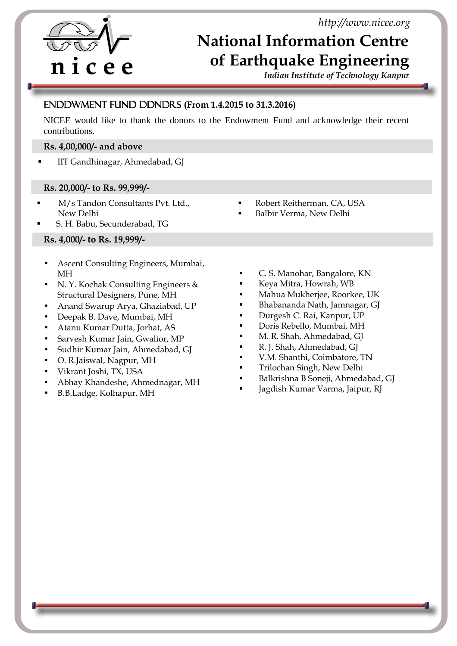*http://www.nicee.org*

# **n i c e e**

f i

## **National Information Centre of Earthquake Engineering**

*Indian Institute of Technology Kanpur* 

### Endowment Fund Donors **(From 1.4.2015 to 31.3.2016)**

NICEE would like to thank the donors to the Endowment Fund and acknowledge their recent contributions.

#### **Rs. 4,00,000/- and above**

IIT Gandhinagar, Ahmedabad, GJ

#### **Rs. 20,000/- to Rs. 99,999/-**

- M/s Tandon Consultants Pvt. Ltd., New Delhi
- S. H. Babu, Secunderabad, TG

#### **Rs. 4,000/- to Rs. 19,999/-**

- Ascent Consulting Engineers, Mumbai, MH
- N. Y. Kochak Consulting Engineers & Structural Designers, Pune, MH
- Anand Swarup Arya, Ghaziabad, UP
- Deepak B. Dave, Mumbai, MH
- Atanu Kumar Dutta, Jorhat, AS
- Sarvesh Kumar Jain, Gwalior, MP
- Sudhir Kumar Jain, Ahmedabad, GJ
- O. R.Jaiswal, Nagpur, MH
- Vikrant Joshi, TX, USA
- Abhay Khandeshe, Ahmednagar, MH
- B.B.Ladge, Kolhapur, MH
- Robert Reitherman, CA, USA
- Balbir Verma, New Delhi
- C. S. Manohar, Bangalore, KN
- Keya Mitra, Howrah, WB
- Mahua Mukherjee, Roorkee, UK
- Bhabananda Nath, Jamnagar, GJ
- Durgesh C. Rai, Kanpur, UP
- Doris Rebello, Mumbai, MH
- M. R. Shah, Ahmedabad, GJ
- R. J. Shah, Ahmedabad, GJ
- V.M. Shanthi, Coimbatore, TN
- Trilochan Singh, New Delhi
- Balkrishna B Soneji, Ahmedabad, GJ
- Jagdish Kumar Varma, Jaipur, RJ